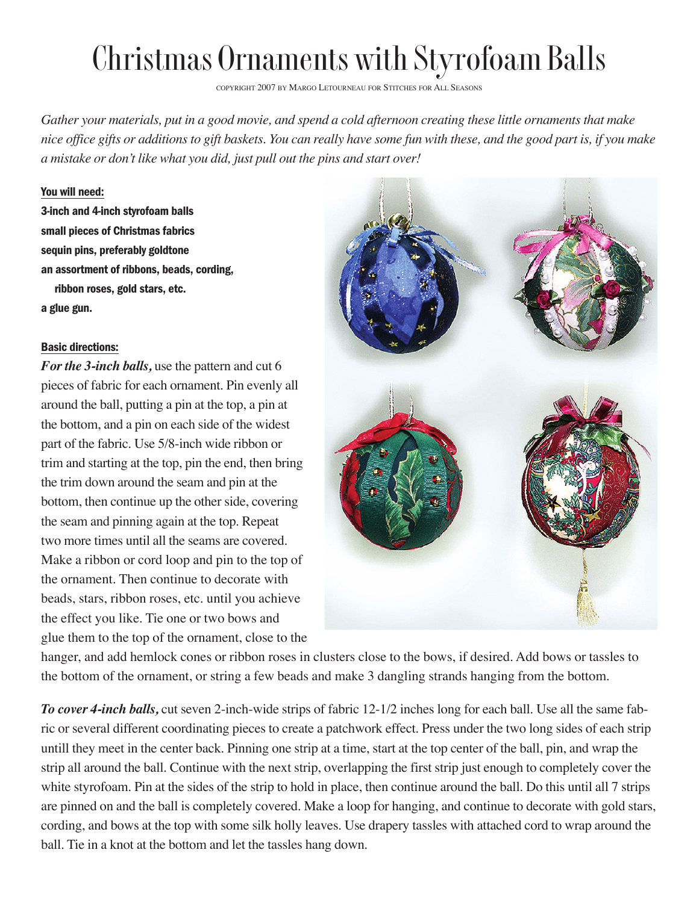## Christmas Ornaments with Styrofoam Balls

COPYRIGHT 2007 BY MARGO LETOURNEAU FOR STITCHES FOR ALL SEASONS

*Gather your materials, put in a good movie, and spend a cold afternoon creating these little ornaments that make nice office gifts or additions to gift baskets. You can really have some fun with these, and the good part is, if you make a mistake or don't like what you did, just pull out the pins and start over!*

## You will need:

3-inch and 4-inch styrofoam balls small pieces of Christmas fabrics sequin pins, preferably goldtone an assortment of ribbons, beads, cording, ribbon roses, gold stars, etc. a glue gun.

## Basic directions:

*For the 3-inch balls,* use the pattern and cut 6 pieces of fabric for each ornament. Pin evenly all around the ball, putting a pin at the top, a pin at the bottom, and a pin on each side of the widest part of the fabric. Use 5/8-inch wide ribbon or trim and starting at the top, pin the end, then bring the trim down around the seam and pin at the bottom, then continue up the other side, covering the seam and pinning again at the top. Repeat two more times until all the seams are covered. Make a ribbon or cord loop and pin to the top of the ornament. Then continue to decorate with beads, stars, ribbon roses, etc. until you achieve the effect you like. Tie one or two bows and glue them to the top of the ornament, close to the



hanger, and add hemlock cones or ribbon roses in clusters close to the bows, if desired. Add bows or tassles to the bottom of the ornament, or string a few beads and make 3 dangling strands hanging from the bottom.

*To cover 4-inch balls,* cut seven 2-inch-wide strips of fabric 12-1/2 inches long for each ball. Use all the same fabric or several different coordinating pieces to create a patchwork effect. Press under the two long sides of each strip untill they meet in the center back. Pinning one strip at a time, start at the top center of the ball, pin, and wrap the strip all around the ball. Continue with the next strip, overlapping the first strip just enough to completely cover the white styrofoam. Pin at the sides of the strip to hold in place, then continue around the ball. Do this until all 7 strips are pinned on and the ball is completely covered. Make a loop for hanging, and continue to decorate with gold stars, cording, and bows at the top with some silk holly leaves. Use drapery tassles with attached cord to wrap around the ball. Tie in a knot at the bottom and let the tassles hang down.